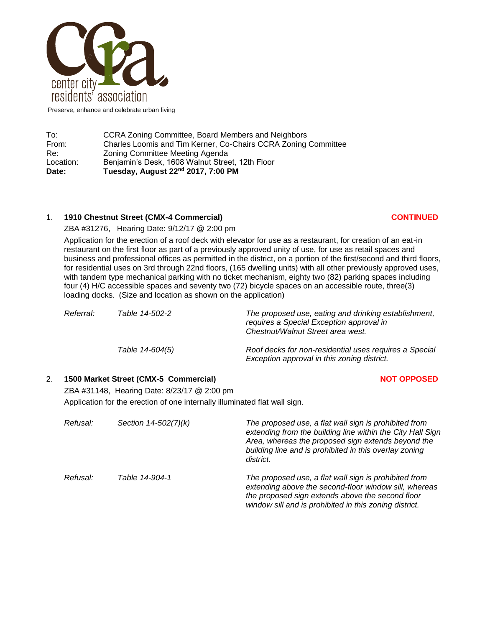

Preserve, enhance and celebrate urban living

| Date:     | Tuesday, August 22 <sup>nd</sup> 2017, 7:00 PM                 |
|-----------|----------------------------------------------------------------|
| Location: | Benjamin's Desk, 1608 Walnut Street, 12th Floor                |
| Re:       | Zoning Committee Meeting Agenda                                |
| From:     | Charles Loomis and Tim Kerner, Co-Chairs CCRA Zoning Committee |
| To:       | CCRA Zoning Committee, Board Members and Neighbors             |

# 1. **1910 Chestnut Street (CMX-4 Commercial) CONTINUED**

ZBA #31276, Hearing Date: 9/12/17 @ 2:00 pm

Application for the erection of a roof deck with elevator for use as a restaurant, for creation of an eat-in restaurant on the first floor as part of a previously approved unity of use, for use as retail spaces and business and professional offices as permitted in the district, on a portion of the first/second and third floors, for residential uses on 3rd through 22nd floors, (165 dwelling units) with all other previously approved uses, with tandem type mechanical parking with no ticket mechanism, eighty two (82) parking spaces including four (4) H/C accessible spaces and seventy two (72) bicycle spaces on an accessible route, three(3) loading docks. (Size and location as shown on the application)

| Referral: | Table 14-502-2  | The proposed use, eating and drinking establishment,<br>requires a Special Exception approval in<br>Chestnut/Walnut Street area west. |
|-----------|-----------------|---------------------------------------------------------------------------------------------------------------------------------------|
|           | Table 14-604(5) | Roof decks for non-residential uses requires a Special<br>Exception approval in this zoning district.                                 |

# 2. **1500 Market Street (CMX-5 Commercial) NOT OPPOSED**

ZBA #31148, Hearing Date: 8/23/17 @ 2:00 pm Application for the erection of one internally illuminated flat wall sign.

| Refusal: | Section 14-502(7)(k) | The proposed use, a flat wall sign is prohibited from<br>extending from the building line within the City Hall Sign<br>Area, whereas the proposed sign extends beyond the<br>building line and is prohibited in this overlay zoning<br>district. |
|----------|----------------------|--------------------------------------------------------------------------------------------------------------------------------------------------------------------------------------------------------------------------------------------------|
| Refusal: | Table 14-904-1       | The proposed use, a flat wall sign is prohibited from<br>extending above the second-floor window sill, whereas<br>the proposed sign extends above the second floor<br>window sill and is prohibited in this zoning district.                     |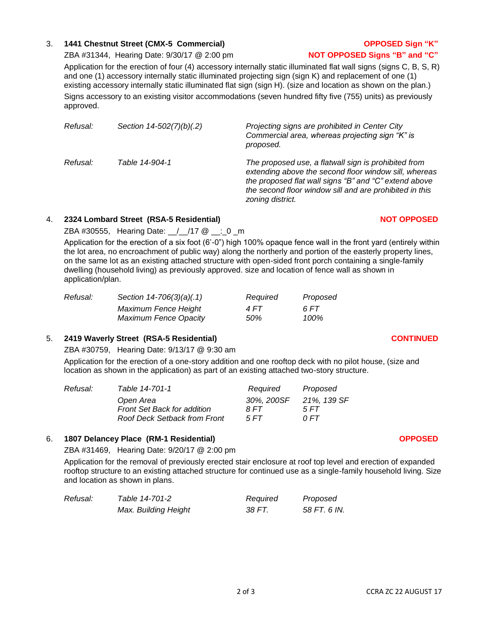# 3. **1441 Chestnut Street (CMX-5 Commercial) OPPOSED Sign "K"**

ZBA #31344, Hearing Date: 9/30/17 @ 2:00 pm **NOT OPPOSED Signs "B" and "C"**

Application for the erection of four (4) accessory internally static illuminated flat wall signs (signs C, B, S, R) and one (1) accessory internally static illuminated projecting sign (sign K) and replacement of one (1) existing accessory internally static illuminated flat sign (sign H). (size and location as shown on the plan.) Signs accessory to an existing visitor accommodations (seven hundred fifty five (755) units) as previously approved.

| Refusal: | Section 14-502(7)(b)(.2) | Projecting signs are prohibited in Center City<br>Commercial area, whereas projecting sign "K" is<br>proposed.                                                                                                                                        |
|----------|--------------------------|-------------------------------------------------------------------------------------------------------------------------------------------------------------------------------------------------------------------------------------------------------|
| Refusal: | Table 14-904-1           | The proposed use, a flatwall sign is prohibited from<br>extending above the second floor window sill, whereas<br>the proposed flat wall signs "B" and "C" extend above<br>the second floor window sill and are prohibited in this<br>zoning district. |

#### 4. **2324 Lombard Street (RSA-5 Residential) NOT OPPOSED**

ZBA #30555, Hearing Date: \_\_/\_\_/17 @ \_\_:\_0 \_m

Application for the erection of a six foot (6'-0") high 100% opaque fence wall in the front yard (entirely within the lot area, no encroachment of public way) along the northerly and portion of the easterly property lines, on the same lot as an existing attached structure with open-sided front porch containing a single-family dwelling (household living) as previously approved. size and location of fence wall as shown in application/plan.

| Refusal: | Section 14-706(3)(a)(.1)     | Required | Proposed |
|----------|------------------------------|----------|----------|
|          | Maximum Fence Height         | 4 FT     | 6 FT     |
|          | <b>Maximum Fence Opacity</b> | 50%      | 100%     |

# 5. **2419 Waverly Street (RSA-5 Residential) CONTINUED**

ZBA #30759, Hearing Date: 9/13/17 @ 9:30 am

Application for the erection of a one-story addition and one rooftop deck with no pilot house, (size and location as shown in the application) as part of an existing attached two-story structure.

| Refusal: | Table 14-701-1                      | Required   | Proposed    |
|----------|-------------------------------------|------------|-------------|
|          | Open Area                           | 30%, 200SF | 21%, 139 SF |
|          | <b>Front Set Back for addition</b>  | 8 FT       | 5 FT        |
|          | <b>Roof Deck Setback from Front</b> | 5 FT       | 0 FT        |

#### 6. **1807 Delancey Place (RM-1 Residential) OPPOSED**

ZBA #31469, Hearing Date: 9/20/17 @ 2:00 pm

Application for the removal of previously erected stair enclosure at roof top level and erection of expanded rooftop structure to an existing attached structure for continued use as a single-family household living. Size and location as shown in plans.

| Refusal: | Table 14-701-2       | Required | Proposed     |
|----------|----------------------|----------|--------------|
|          | Max. Building Height | 38 FT.   | 58 FT. 6 IN. |

# 2 of 3 CCRA ZC 22 AUGUST 17